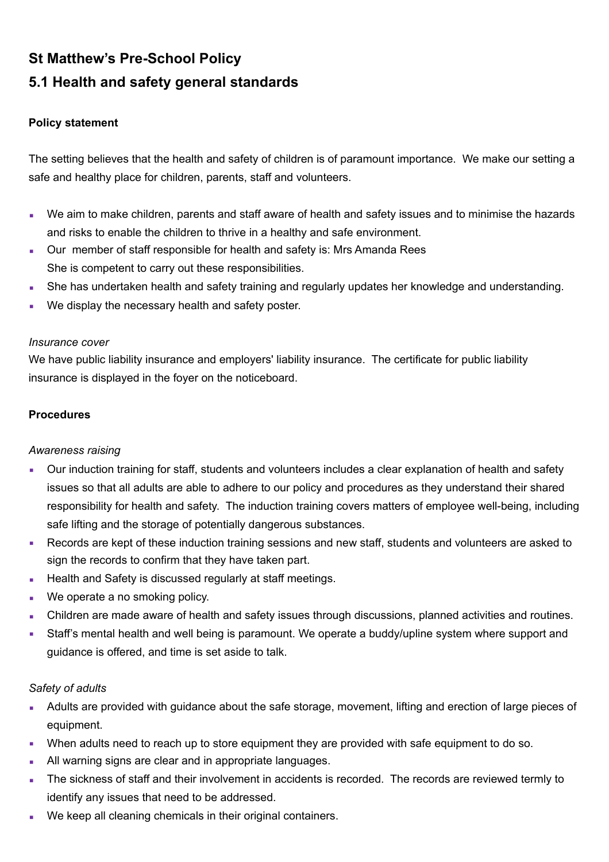# **St Matthew's Pre-School Policy 5.1 Health and safety general standards**

## **Policy statement**

The setting believes that the health and safety of children is of paramount importance. We make our setting a safe and healthy place for children, parents, staff and volunteers.

- We aim to make children, parents and staff aware of health and safety issues and to minimise the hazards and risks to enable the children to thrive in a healthy and safe environment.
- **Our member of staff responsible for health and safety is: Mrs Amanda Rees** She is competent to carry out these responsibilities.
- She has undertaken health and safety training and regularly updates her knowledge and understanding.
- We display the necessary health and safety poster.

#### *Insurance cover*

We have public liability insurance and employers' liability insurance. The certificate for public liability insurance is displayed in the foyer on the noticeboard.

## **Procedures**

## *Awareness raising*

- Our induction training for staff, students and volunteers includes a clear explanation of health and safety issues so that all adults are able to adhere to our policy and procedures as they understand their shared responsibility for health and safety. The induction training covers matters of employee well-being, including safe lifting and the storage of potentially dangerous substances.
- Records are kept of these induction training sessions and new staff, students and volunteers are asked to sign the records to confirm that they have taken part.
- **EXECUTE:** Health and Safety is discussed regularly at staff meetings.
- We operate a no smoking policy.
- **EXECT Arisf Children are made aware of health and safety issues through discussions, planned activities and routines.**
- Staff's mental health and well being is paramount. We operate a buddy/upline system where support and guidance is offered, and time is set aside to talk.

## *Safety of adults*

- Adults are provided with guidance about the safe storage, movement, lifting and erection of large pieces of equipment.
- When adults need to reach up to store equipment they are provided with safe equipment to do so.
- All warning signs are clear and in appropriate languages.
- The sickness of staff and their involvement in accidents is recorded. The records are reviewed termly to identify any issues that need to be addressed.
- We keep all cleaning chemicals in their original containers.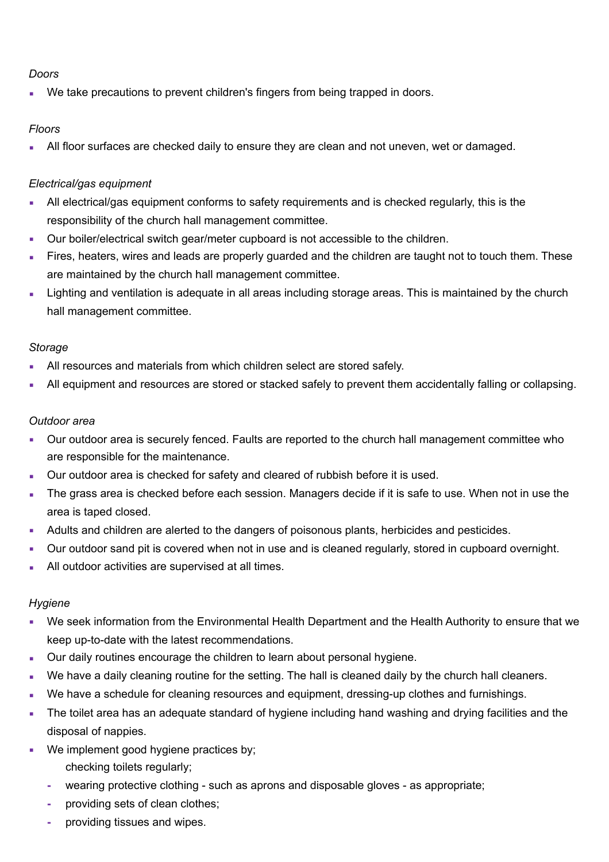## *Doors*

We take precautions to prevent children's fingers from being trapped in doors.

# *Floors*

All floor surfaces are checked daily to ensure they are clean and not uneven, wet or damaged.

# *Electrical/gas equipment*

- **EXECT** All electrical/gas equipment conforms to safety requirements and is checked regularly, this is the responsibility of the church hall management committee.
- Our boiler/electrical switch gear/meter cupboard is not accessible to the children.
- Fires, heaters, wires and leads are properly guarded and the children are taught not to touch them. These are maintained by the church hall management committee.
- Lighting and ventilation is adequate in all areas including storage areas. This is maintained by the church hall management committee.

## *Storage*

- All resources and materials from which children select are stored safely.
- All equipment and resources are stored or stacked safely to prevent them accidentally falling or collapsing.

## *Outdoor area*

- Our outdoor area is securely fenced. Faults are reported to the church hall management committee who are responsible for the maintenance.
- Our outdoor area is checked for safety and cleared of rubbish before it is used.
- The grass area is checked before each session. Managers decide if it is safe to use. When not in use the area is taped closed.
- **•** Adults and children are alerted to the dangers of poisonous plants, herbicides and pesticides.
- Our outdoor sand pit is covered when not in use and is cleaned regularly, stored in cupboard overnight.
- **EXECUTE:** All outdoor activities are supervised at all times.

## *Hygiene*

- We seek information from the Environmental Health Department and the Health Authority to ensure that we keep up-to-date with the latest recommendations.
- Our daily routines encourage the children to learn about personal hygiene.
- We have a daily cleaning routine for the setting. The hall is cleaned daily by the church hall cleaners.
- We have a schedule for cleaning resources and equipment, dressing-up clothes and furnishings.
- The toilet area has an adequate standard of hygiene including hand washing and drying facilities and the disposal of nappies.
- We implement good hygiene practices by; checking toilets regularly;
	- **-** wearing protective clothing such as aprons and disposable gloves as appropriate;
	- **-** providing sets of clean clothes;
	- **-** providing tissues and wipes.